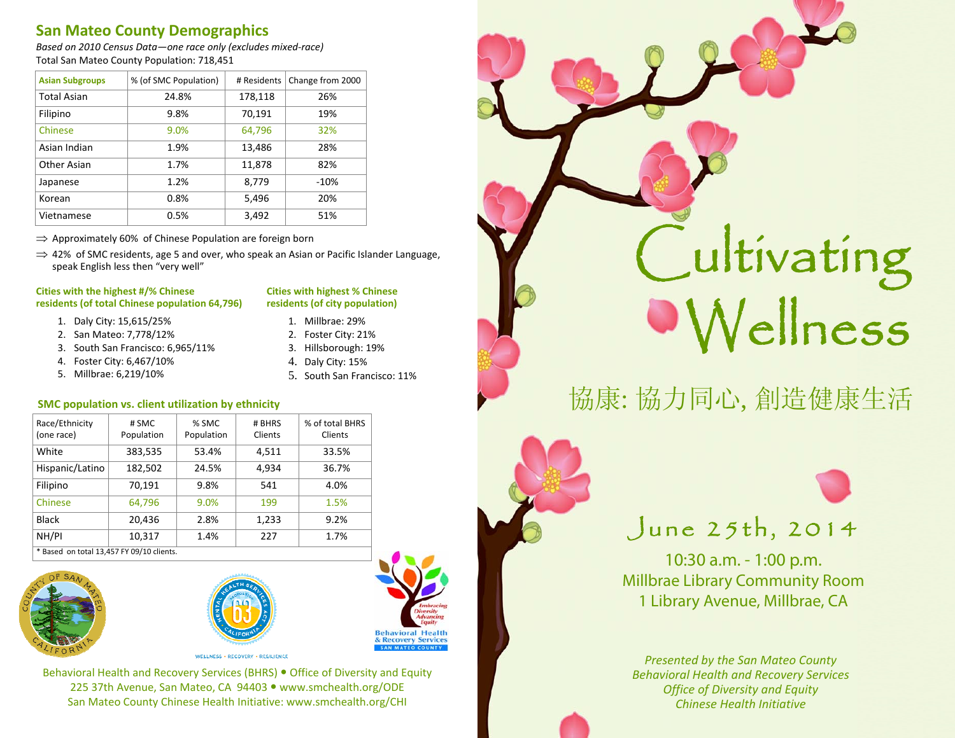### **San Mateo County Demographics**

*Based on 2010 Census Data—one race only (excludes mixed‐race)* Total San Mateo County Population: 718,451

| <b>Asian Subgroups</b> | % (of SMC Population) | # Residents | Change from 2000 |
|------------------------|-----------------------|-------------|------------------|
| <b>Total Asian</b>     | 24.8%                 | 178,118     | 26%              |
| Filipino               | 9.8%                  | 70,191      | 19%              |
| Chinese                | 9.0%                  | 64,796      | 32%              |
| Asian Indian           | 1.9%                  | 13,486      | 28%              |
| Other Asian            | 1.7%                  | 11,878      | 82%              |
| Japanese               | 1.2%                  | 8,779       | $-10%$           |
| Korean                 | 0.8%                  | 5,496       | 20%              |
| Vietnamese             | 0.5%                  | 3,492       | 51%              |

 $\Rightarrow$  Approximately 60% of Chinese Population are foreign born

 $\Rightarrow$  42% f SMC residents, age 5 and over, who speak an Asian or Pacific Islander Language, speak English less then "very well"

#### **Cities with the highest #/% Chinese residents (of total Chinese population 64,796)**

**Cities with highest % Chinese residents (of city population)**

1. Daly City: 15,615/25%

- 1. Millbrae: 29%2. Foster City: 21%
- 2. San Mateo: 7,778/12% 3. South San Francisco: 6,965/11%
- 4. Foster City: 6,467/10%
- 5. Millbrae: 6,219/10%
- 3. Hillsborough: 19% 4. Daly City: 15%
- 5. South San Francisco: 11%

#### **SMC** population vs. client utilization by ethnicity

| Race/Ethnicity<br>(one race)              | # SMC<br>Population | % SMC<br>Population | # BHRS<br>Clients | % of total BHRS<br>Clients |
|-------------------------------------------|---------------------|---------------------|-------------------|----------------------------|
| White                                     | 383,535             | 53.4%               | 4,511             | 33.5%                      |
| Hispanic/Latino                           | 182,502             | 24.5%               | 4,934             | 36.7%                      |
| Filipino                                  | 70,191              | 9.8%                | 541               | 4.0%                       |
| Chinese                                   | 64,796              | 9.0%                | 199               | 1.5%                       |
| <b>Black</b>                              | 20,436              | 2.8%                | 1,233             | 9.2%                       |
| NH/PI                                     | 10,317              | 1.4%                | 227               | 1.7%                       |
| * Based on total 13,457 FY 09/10 clients. |                     |                     |                   |                            |





**Behavioral Health**<br>& Recovery Services

Behavioral Health and Recovery Services (BHRS)  $\bullet$  Office of Diversity and Equity 225 37th Avenue, San Mateo, CA 94403 www.smchealth.org/ODE San Mateo County Chinese Health Initiative: www.smchealth.org/CHI



**population vs. client utilization by ethnicity** 協康: 協力同心, 創造健康生活

## June 25th, 2014

10:30 a.m. - 1:00 p.m. Millbrae Library Community Room 1 Library Avenue, Millbrae, CA

*Presented by the San Mateo County Behavioral Health and Recovery Services Office of Diversity and Equity Chinese Health Initiative*